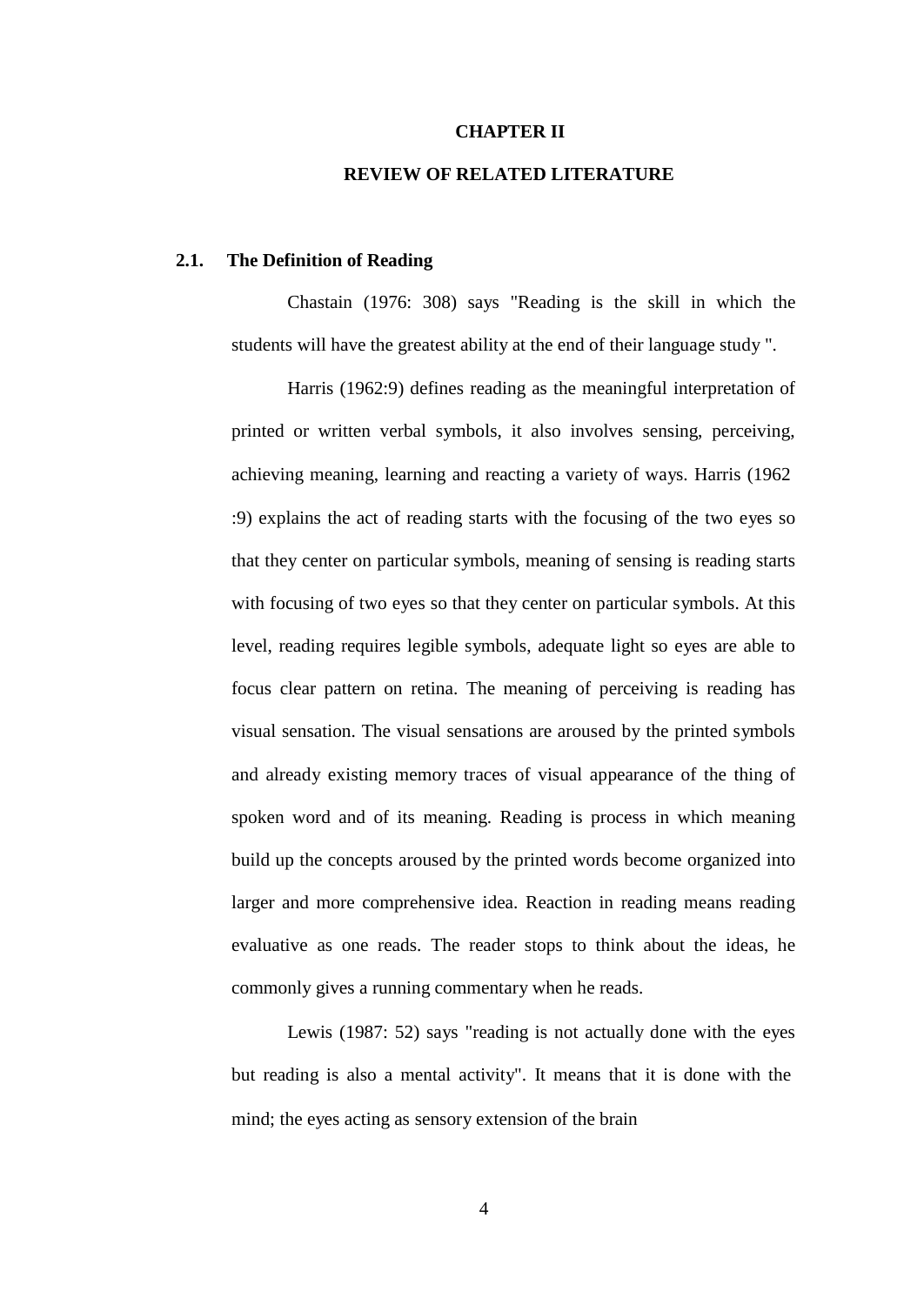### **CHAPTER II**

## **REVIEW OF RELATED LITERATURE**

### **2.1. The Definition of Reading**

Chastain (1976: 308) says "Reading is the skill in which the students will have the greatest ability at the end of their language study ".

Harris (1962:9) defines reading as the meaningful interpretation of printed or written verbal symbols, it also involves sensing, perceiving, achieving meaning, learning and reacting a variety of ways. Harris (1962 :9) explains the act of reading starts with the focusing of the two eyes so that they center on particular symbols, meaning of sensing is reading starts with focusing of two eyes so that they center on particular symbols. At this level, reading requires legible symbols, adequate light so eyes are able to focus clear pattern on retina. The meaning of perceiving is reading has visual sensation. The visual sensations are aroused by the printed symbols and already existing memory traces of visual appearance of the thing of spoken word and of its meaning. Reading is process in which meaning build up the concepts aroused by the printed words become organized into larger and more comprehensive idea. Reaction in reading means reading evaluative as one reads. The reader stops to think about the ideas, he commonly gives a running commentary when he reads.

Lewis (1987: 52) says "reading is not actually done with the eyes but reading is also a mental activity". It means that it is done with the mind; the eyes acting as sensory extension of the brain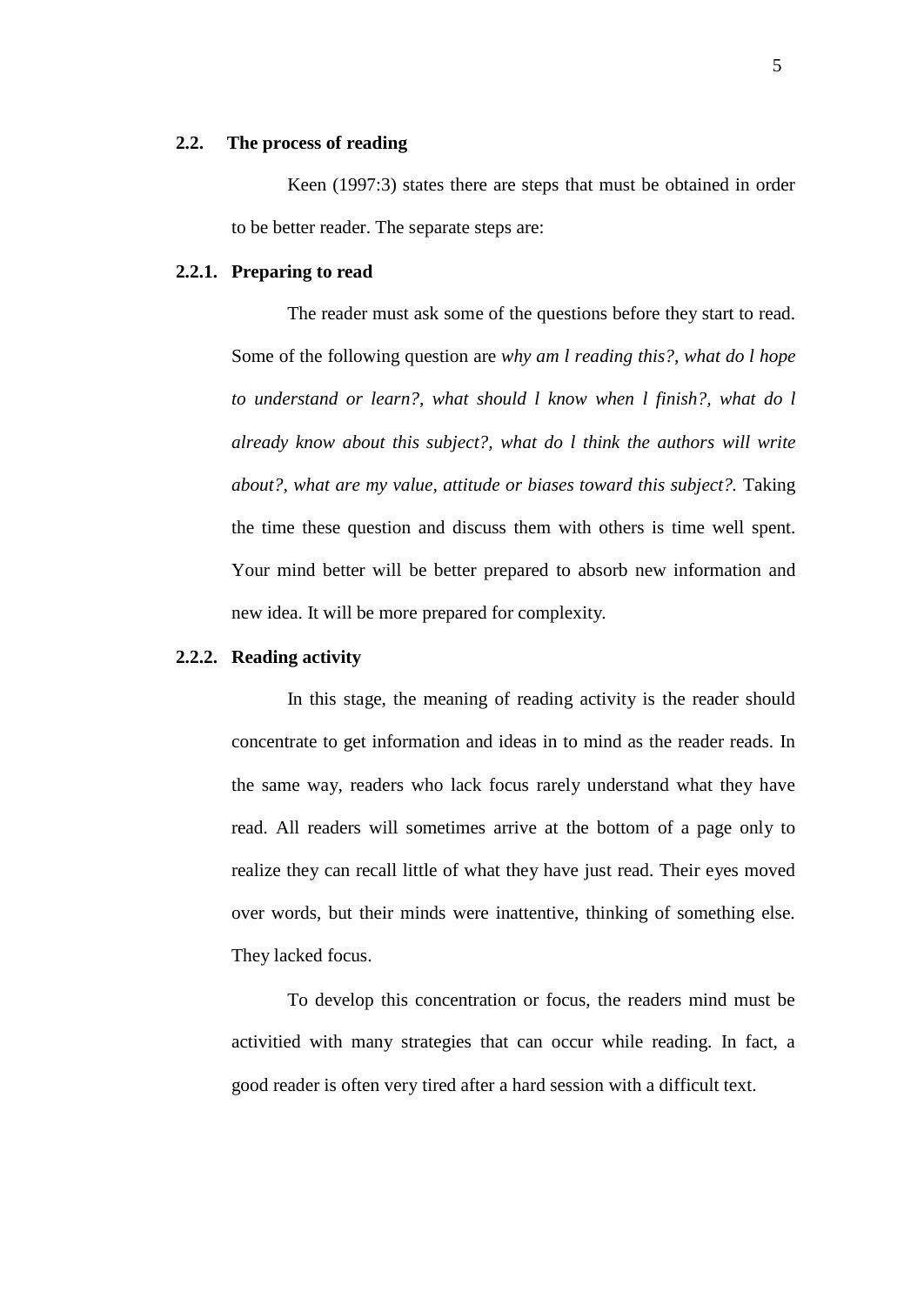#### **2.2. The process of reading**

Keen (1997:3) states there are steps that must be obtained in order to be better reader. The separate steps are:

#### **2.2.1. Preparing to read**

The reader must ask some of the questions before they start to read. Some of the following question are *why am l reading this?, what do l hope to understand or learn?, what should l know when l finish?, what do l already know about this subject?, what do l think the authors will write about?, what are my value, attitude or biases toward this subject?.* Taking the time these question and discuss them with others is time well spent. Your mind better will be better prepared to absorb new information and new idea. It will be more prepared for complexity.

### **2.2.2. Reading activity**

In this stage, the meaning of reading activity is the reader should concentrate to get information and ideas in to mind as the reader reads. In the same way, readers who lack focus rarely understand what they have read. All readers will sometimes arrive at the bottom of a page only to realize they can recall little of what they have just read. Their eyes moved over words, but their minds were inattentive, thinking of something else. They lacked focus.

To develop this concentration or focus, the readers mind must be activitied with many strategies that can occur while reading. In fact, a good reader is often very tired after a hard session with a difficult text.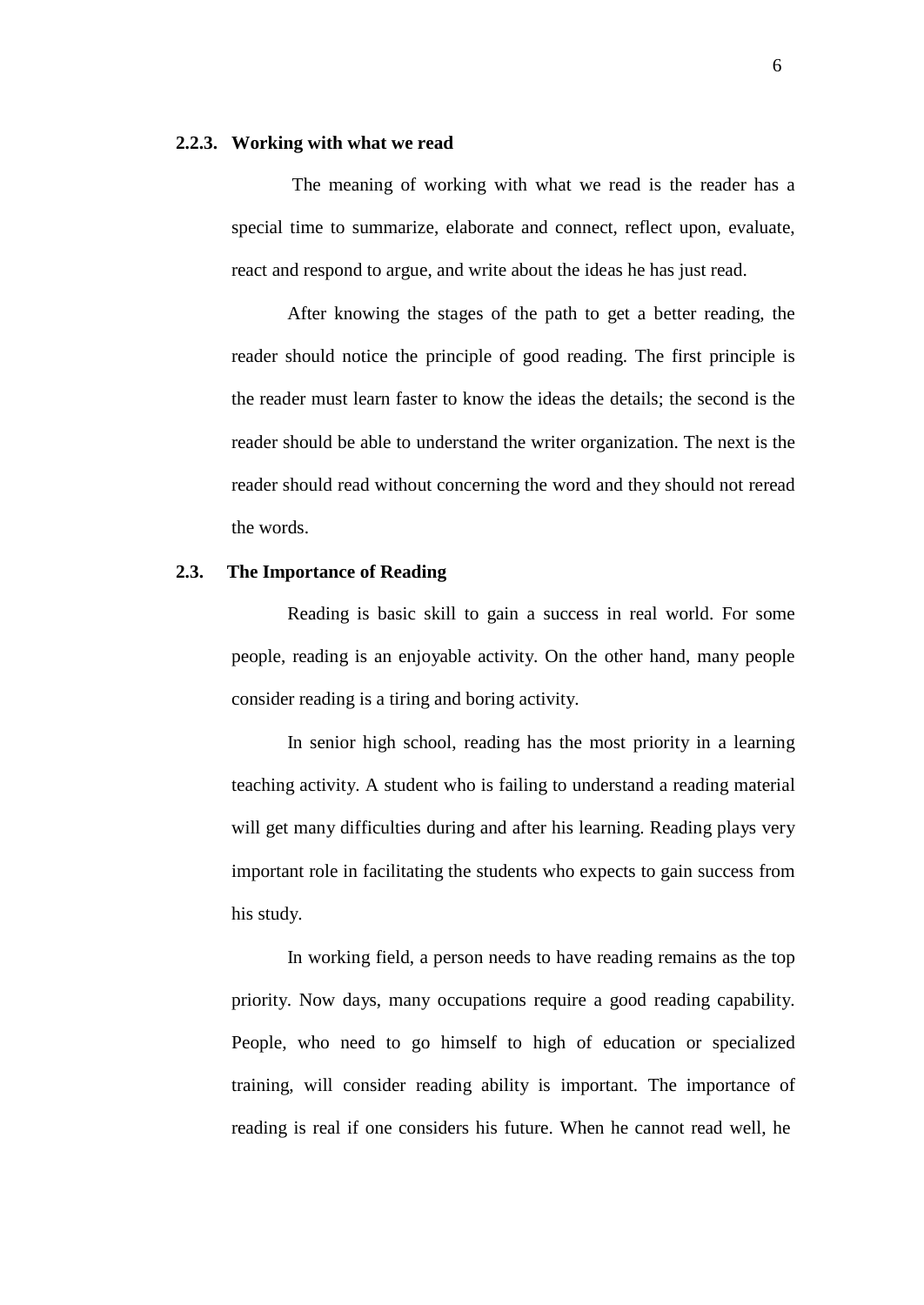#### **2.2.3. Working with what we read**

The meaning of working with what we read is the reader has a special time to summarize, elaborate and connect, reflect upon, evaluate, react and respond to argue, and write about the ideas he has just read.

After knowing the stages of the path to get a better reading, the reader should notice the principle of good reading. The first principle is the reader must learn faster to know the ideas the details; the second is the reader should be able to understand the writer organization. The next is the reader should read without concerning the word and they should not reread the words.

# **2.3. The Importance of Reading**

Reading is basic skill to gain a success in real world. For some people, reading is an enjoyable activity. On the other hand, many people consider reading is a tiring and boring activity.

In senior high school, reading has the most priority in a learning teaching activity. A student who is failing to understand a reading material will get many difficulties during and after his learning. Reading plays very important role in facilitating the students who expects to gain success from his study.

In working field, a person needs to have reading remains as the top priority. Now days, many occupations require a good reading capability. People, who need to go himself to high of education or specialized training, will consider reading ability is important. The importance of reading is real if one considers his future. When he cannot read well, he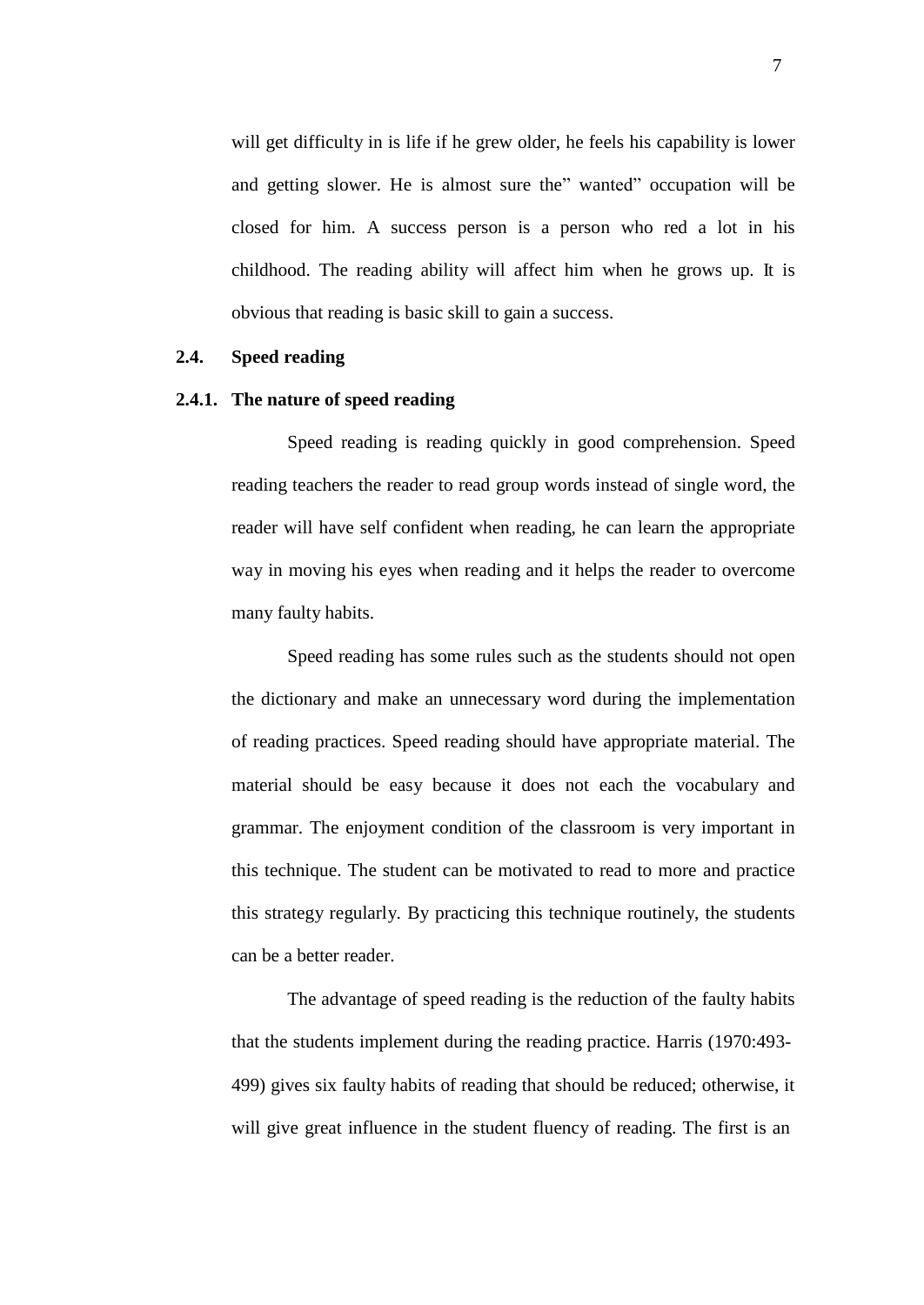will get difficulty in is life if he grew older, he feels his capability is lower and getting slower. He is almost sure the" wanted" occupation will be closed for him. A success person is a person who red a lot in his childhood. The reading ability will affect him when he grows up. It is obvious that reading is basic skill to gain a success.

### **2.4. Speed reading**

## **2.4.1. The nature of speed reading**

Speed reading is reading quickly in good comprehension. Speed reading teachers the reader to read group words instead of single word, the reader will have self confident when reading, he can learn the appropriate way in moving his eyes when reading and it helps the reader to overcome many faulty habits.

Speed reading has some rules such as the students should not open the dictionary and make an unnecessary word during the implementation of reading practices. Speed reading should have appropriate material. The material should be easy because it does not each the vocabulary and grammar. The enjoyment condition of the classroom is very important in this technique. The student can be motivated to read to more and practice this strategy regularly. By practicing this technique routinely, the students can be a better reader.

The advantage of speed reading is the reduction of the faulty habits that the students implement during the reading practice. Harris (1970:493- 499) gives six faulty habits of reading that should be reduced; otherwise, it will give great influence in the student fluency of reading. The first is an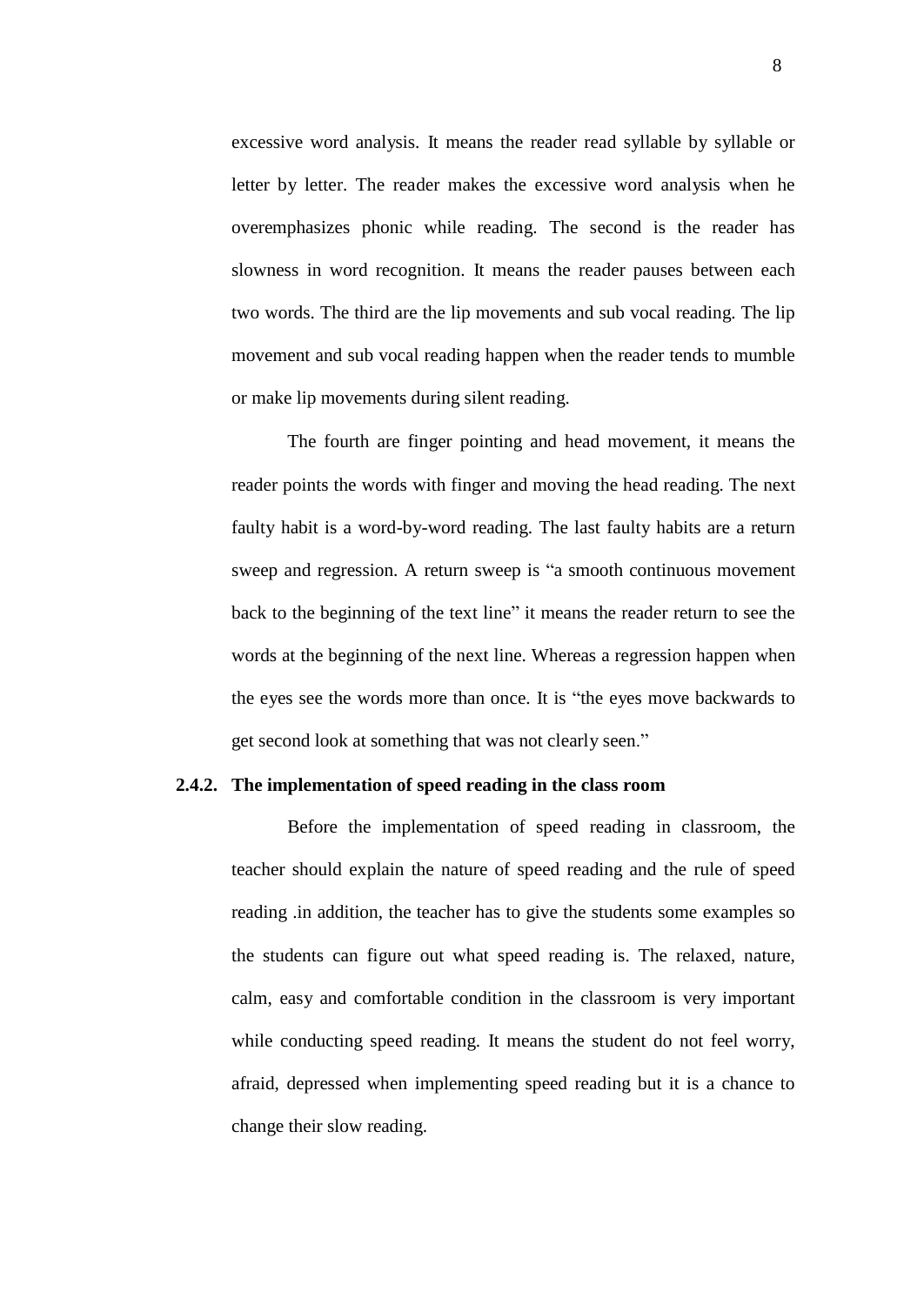excessive word analysis. It means the reader read syllable by syllable or letter by letter. The reader makes the excessive word analysis when he overemphasizes phonic while reading. The second is the reader has slowness in word recognition. It means the reader pauses between each two words. The third are the lip movements and sub vocal reading. The lip movement and sub vocal reading happen when the reader tends to mumble or make lip movements during silent reading.

The fourth are finger pointing and head movement, it means the reader points the words with finger and moving the head reading. The next faulty habit is a word-by-word reading. The last faulty habits are a return sweep and regression. A return sweep is "a smooth continuous movement back to the beginning of the text line" it means the reader return to see the words at the beginning of the next line. Whereas a regression happen when the eyes see the words more than once. It is "the eyes move backwards to get second look at something that was not clearly seen."

### **2.4.2. The implementation of speed reading in the class room**

Before the implementation of speed reading in classroom, the teacher should explain the nature of speed reading and the rule of speed reading .in addition, the teacher has to give the students some examples so the students can figure out what speed reading is. The relaxed, nature, calm, easy and comfortable condition in the classroom is very important while conducting speed reading. It means the student do not feel worry, afraid, depressed when implementing speed reading but it is a chance to change their slow reading.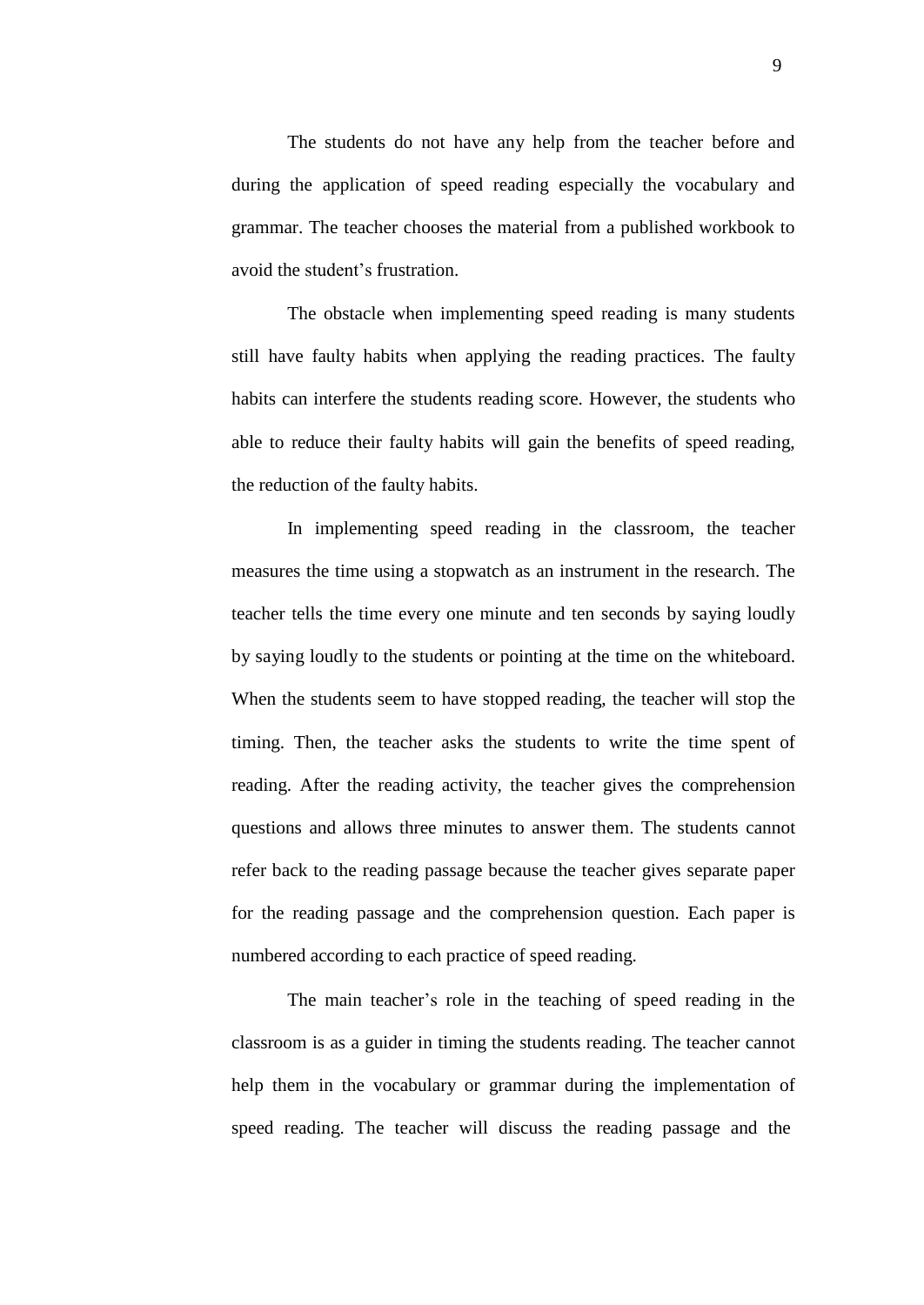The students do not have any help from the teacher before and during the application of speed reading especially the vocabulary and grammar. The teacher chooses the material from a published workbook to avoid the student's frustration.

The obstacle when implementing speed reading is many students still have faulty habits when applying the reading practices. The faulty habits can interfere the students reading score. However, the students who able to reduce their faulty habits will gain the benefits of speed reading, the reduction of the faulty habits.

In implementing speed reading in the classroom, the teacher measures the time using a stopwatch as an instrument in the research. The teacher tells the time every one minute and ten seconds by saying loudly by saying loudly to the students or pointing at the time on the whiteboard. When the students seem to have stopped reading, the teacher will stop the timing. Then, the teacher asks the students to write the time spent of reading. After the reading activity, the teacher gives the comprehension questions and allows three minutes to answer them. The students cannot refer back to the reading passage because the teacher gives separate paper for the reading passage and the comprehension question. Each paper is numbered according to each practice of speed reading.

The main teacher's role in the teaching of speed reading in the classroom is as a guider in timing the students reading. The teacher cannot help them in the vocabulary or grammar during the implementation of speed reading. The teacher will discuss the reading passage and the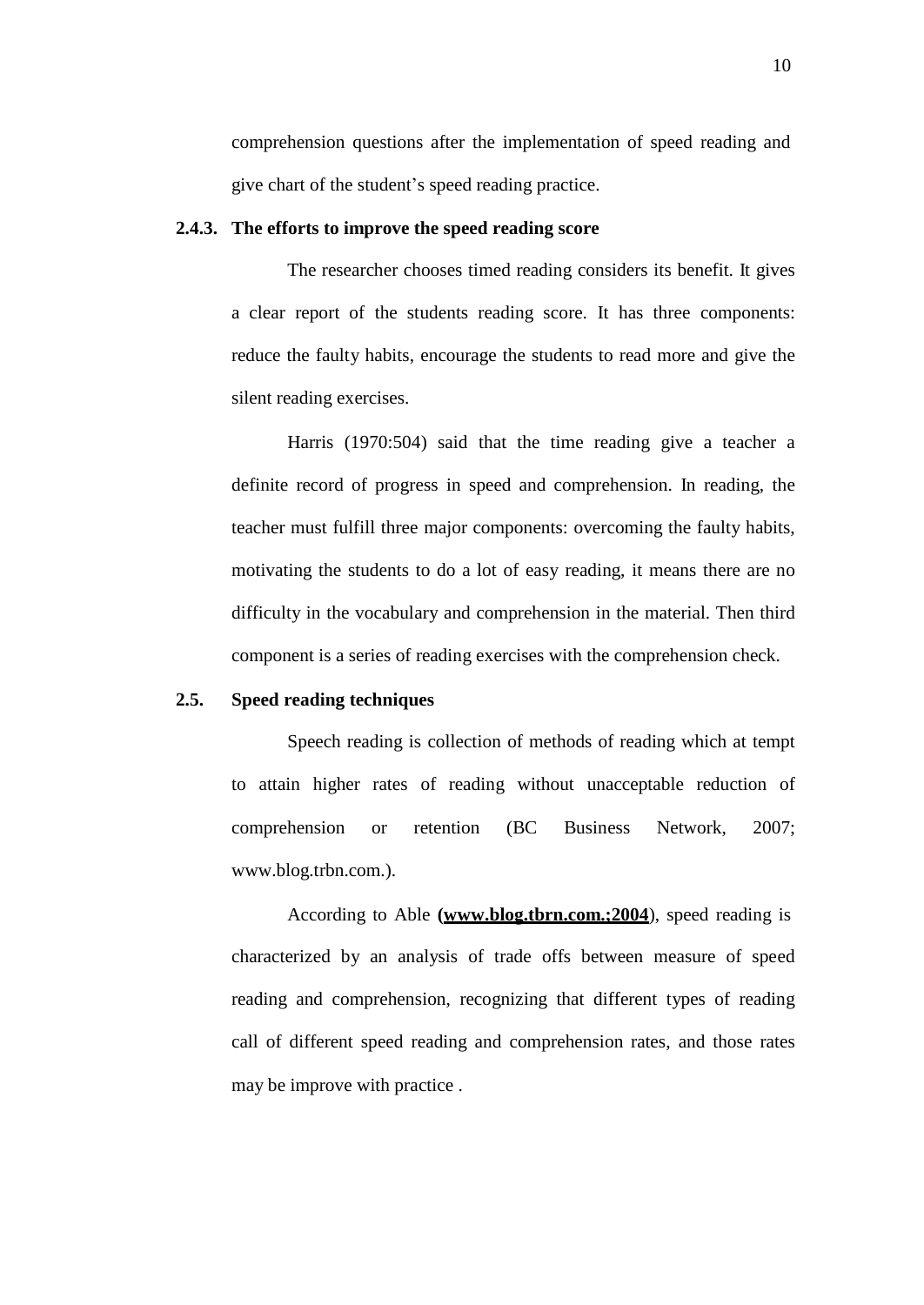comprehension questions after the implementation of speed reading and give chart of the student's speed reading practice.

## **2.4.3. The efforts to improve the speed reading score**

The researcher chooses timed reading considers its benefit. It gives a clear report of the students reading score. It has three components: reduce the faulty habits, encourage the students to read more and give the silent reading exercises.

Harris (1970:504) said that the time reading give a teacher a definite record of progress in speed and comprehension. In reading, the teacher must fulfill three major components: overcoming the faulty habits, motivating the students to do a lot of easy reading, it means there are no difficulty in the vocabulary and comprehension in the material. Then third component is a series of reading exercises with the comprehension check.

#### **2.5. Speed reading techniques**

Speech reading is collection of methods of reading which at tempt to attain higher rates of reading without unacceptable reduction of comprehension or retention (BC Business Network, 2007[;](http://www.blog.trbn.com/) [www.blog.trbn.com.\).](http://www.blog.trbn.com/)

According to Able **[\(www.blog.tbrn.com](http://www.blog.tbrn.com/).;2004**), speed reading is characterized by an analysis of trade offs between measure of speed reading and comprehension, recognizing that different types of reading call of different speed reading and comprehension rates, and those rates may be improve with practice .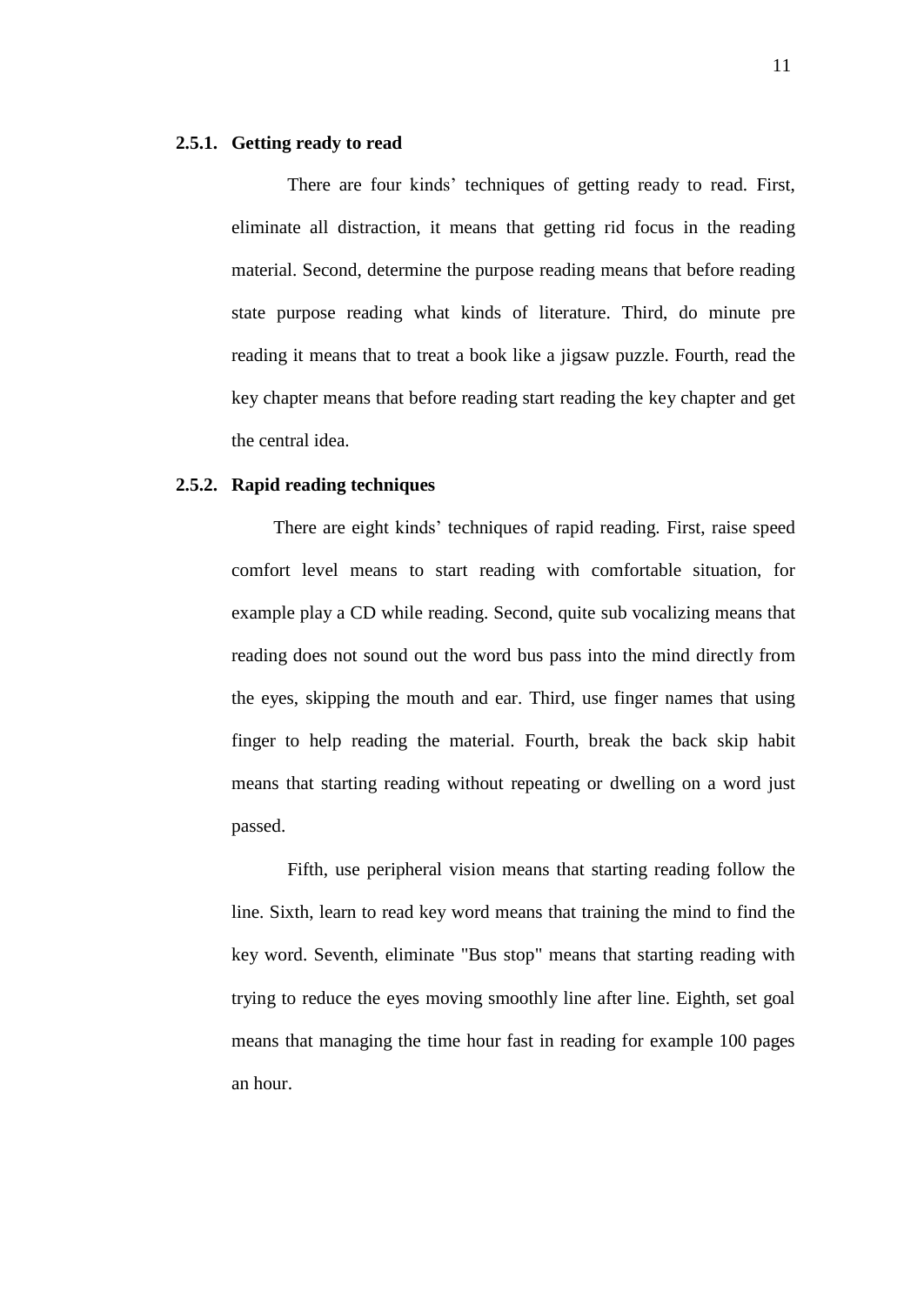## **2.5.1. Getting ready to read**

There are four kinds' techniques of getting ready to read. First, eliminate all distraction, it means that getting rid focus in the reading material. Second, determine the purpose reading means that before reading state purpose reading what kinds of literature. Third, do minute pre reading it means that to treat a book like a jigsaw puzzle. Fourth, read the key chapter means that before reading start reading the key chapter and get the central idea.

## **2.5.2. Rapid reading techniques**

There are eight kinds' techniques of rapid reading. First, raise speed comfort level means to start reading with comfortable situation, for example play a CD while reading. Second, quite sub vocalizing means that reading does not sound out the word bus pass into the mind directly from the eyes, skipping the mouth and ear. Third, use finger names that using finger to help reading the material. Fourth, break the back skip habit means that starting reading without repeating or dwelling on a word just passed.

Fifth, use peripheral vision means that starting reading follow the line. Sixth, learn to read key word means that training the mind to find the key word. Seventh, eliminate "Bus stop" means that starting reading with trying to reduce the eyes moving smoothly line after line. Eighth, set goal means that managing the time hour fast in reading for example 100 pages an hour.